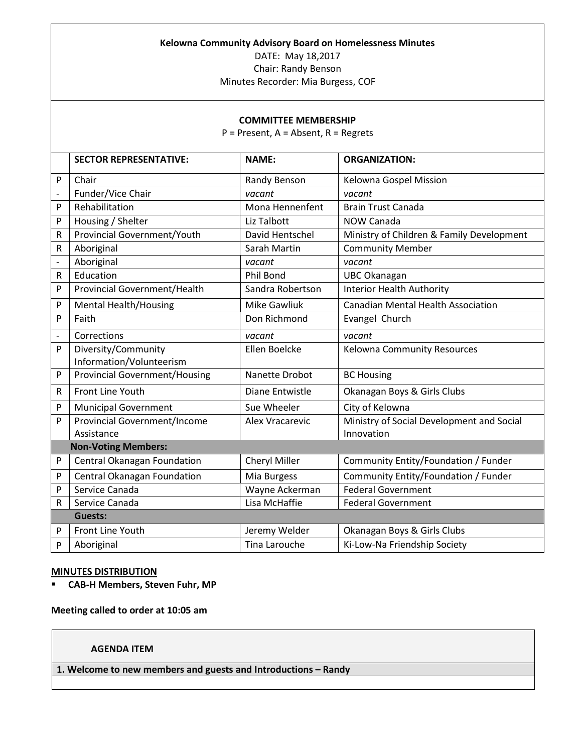#### **Kelowna Community Advisory Board on Homelessness Minutes**

DATE: May 18,2017

Chair: Randy Benson

Minutes Recorder: Mia Burgess, COF

#### **COMMITTEE MEMBERSHIP**

P = Present, A = Absent, R = Regrets

|                          | <b>SECTOR REPRESENTATIVE:</b>        | <b>NAME:</b>         | <b>ORGANIZATION:</b>                      |
|--------------------------|--------------------------------------|----------------------|-------------------------------------------|
| P                        | Chair                                | Randy Benson         | Kelowna Gospel Mission                    |
| $\overline{a}$           | Funder/Vice Chair                    | vacant               | vacant                                    |
| P                        | Rehabilitation                       | Mona Hennenfent      | <b>Brain Trust Canada</b>                 |
| P                        | Housing / Shelter                    | Liz Talbott          | <b>NOW Canada</b>                         |
| R                        | Provincial Government/Youth          | David Hentschel      | Ministry of Children & Family Development |
| R                        | Aboriginal                           | Sarah Martin         | <b>Community Member</b>                   |
| $\frac{1}{2}$            | Aboriginal                           | vacant               | vacant                                    |
| R                        | Education                            | Phil Bond            | <b>UBC Okanagan</b>                       |
| P                        | Provincial Government/Health         | Sandra Robertson     | <b>Interior Health Authority</b>          |
| P                        | <b>Mental Health/Housing</b>         | <b>Mike Gawliuk</b>  | <b>Canadian Mental Health Association</b> |
| P                        | Faith                                | Don Richmond         | Evangel Church                            |
| $\overline{\phantom{0}}$ | Corrections                          | vacant               | vacant                                    |
| P                        | Diversity/Community                  | Ellen Boelcke        | <b>Kelowna Community Resources</b>        |
|                          | Information/Volunteerism             |                      |                                           |
| P                        | <b>Provincial Government/Housing</b> | Nanette Drobot       | <b>BC Housing</b>                         |
| R                        | Front Line Youth                     | Diane Entwistle      | Okanagan Boys & Girls Clubs               |
| P                        | <b>Municipal Government</b>          | Sue Wheeler          | City of Kelowna                           |
| P                        | <b>Provincial Government/Income</b>  | Alex Vracarevic      | Ministry of Social Development and Social |
|                          | Assistance                           |                      | Innovation                                |
|                          | <b>Non-Voting Members:</b>           |                      |                                           |
| P                        | Central Okanagan Foundation          | Cheryl Miller        | Community Entity/Foundation / Funder      |
| P                        | Central Okanagan Foundation          | Mia Burgess          | Community Entity/Foundation / Funder      |
| P                        | Service Canada                       | Wayne Ackerman       | <b>Federal Government</b>                 |
| R                        | Service Canada                       | Lisa McHaffie        | <b>Federal Government</b>                 |
|                          | <b>Guests:</b>                       |                      |                                           |
| P                        | Front Line Youth                     | Jeremy Welder        | Okanagan Boys & Girls Clubs               |
| P                        | Aboriginal                           | <b>Tina Larouche</b> | Ki-Low-Na Friendship Society              |
|                          |                                      |                      |                                           |

#### **MINUTES DISTRIBUTION**

**CAB-H Members, Steven Fuhr, MP**

**Meeting called to order at 10:05 am**

# **AGENDA ITEM**

**1. Welcome to new members and guests and Introductions – Randy**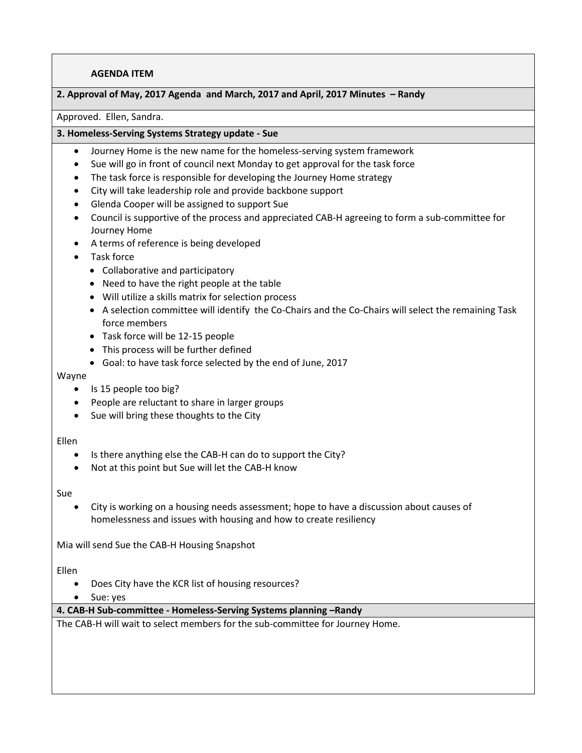### **2. Approval of May, 2017 Agenda and March, 2017 and April, 2017 Minutes – Randy**

#### Approved. Ellen, Sandra.

#### **3. Homeless-Serving Systems Strategy update - Sue**

- Journey Home is the new name for the homeless-serving system framework
- Sue will go in front of council next Monday to get approval for the task force
- The task force is responsible for developing the Journey Home strategy
- City will take leadership role and provide backbone support
- Glenda Cooper will be assigned to support Sue
- Council is supportive of the process and appreciated CAB-H agreeing to form a sub-committee for Journey Home
- A terms of reference is being developed
- Task force
	- Collaborative and participatory
	- Need to have the right people at the table
	- Will utilize a skills matrix for selection process
	- A selection committee will identify the Co-Chairs and the Co-Chairs will select the remaining Task force members
	- Task force will be 12-15 people
	- This process will be further defined
	- Goal: to have task force selected by the end of June, 2017

Wayne

- Is 15 people too big?
- People are reluctant to share in larger groups
- Sue will bring these thoughts to the City

#### Ellen

- Is there anything else the CAB-H can do to support the City?
- Not at this point but Sue will let the CAB-H know

#### Sue

 City is working on a housing needs assessment; hope to have a discussion about causes of homelessness and issues with housing and how to create resiliency

Mia will send Sue the CAB-H Housing Snapshot

Ellen

- Does City have the KCR list of housing resources?
- Sue: yes

**4. CAB-H Sub-committee - Homeless-Serving Systems planning –Randy** 

The CAB-H will wait to select members for the sub-committee for Journey Home.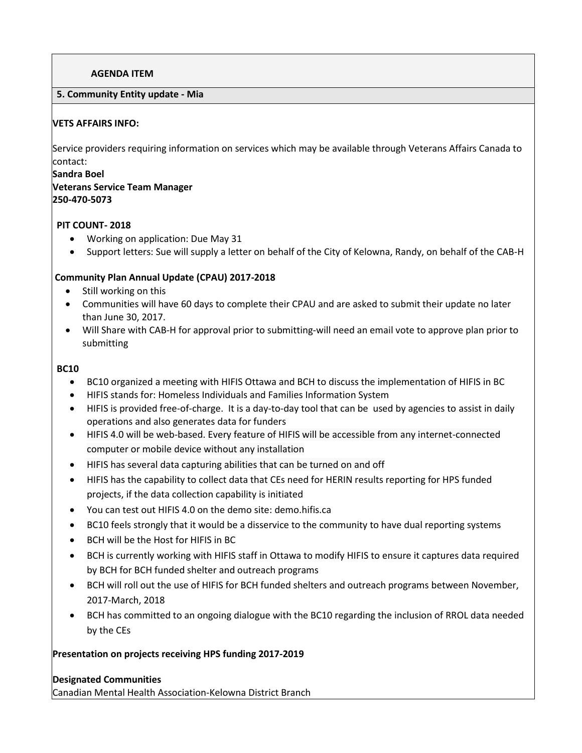## **5. Community Entity update - Mia**

## **VETS AFFAIRS INFO:**

Service providers requiring information on services which may be available through Veterans Affairs Canada to contact:

#### **Sandra Boel**

# **Veterans Service Team Manager 250-470-5073**

## **PIT COUNT- 2018**

- Working on application: Due May 31
- Support letters: Sue will supply a letter on behalf of the City of Kelowna, Randy, on behalf of the CAB-H

# **Community Plan Annual Update (CPAU) 2017-2018**

- Still working on this
- Communities will have 60 days to complete their CPAU and are asked to submit their update no later than June 30, 2017.
- Will Share with CAB-H for approval prior to submitting-will need an email vote to approve plan prior to submitting

## **BC10**

- BC10 organized a meeting with HIFIS Ottawa and BCH to discuss the implementation of HIFIS in BC
- HIFIS stands for: Homeless Individuals and Families Information System
- HIFIS is provided free-of-charge. It is a day-to-day tool that can be used by agencies to assist in daily operations and also generates data for funders
- HIFIS 4.0 will be web-based. Every feature of HIFIS will be accessible from any internet-connected computer or mobile device without any installation
- HIFIS has several data capturing abilities that can be turned on and off
- HIFIS has the capability to collect data that CEs need for HERIN results reporting for HPS funded projects, if the data collection capability is initiated
- You can test out HIFIS 4.0 on the demo site: demo.hifis.ca
- BC10 feels strongly that it would be a disservice to the community to have dual reporting systems
- BCH will be the Host for HIFIS in BC
- BCH is currently working with HIFIS staff in Ottawa to modify HIFIS to ensure it captures data required by BCH for BCH funded shelter and outreach programs
- BCH will roll out the use of HIFIS for BCH funded shelters and outreach programs between November, 2017-March, 2018
- BCH has committed to an ongoing dialogue with the BC10 regarding the inclusion of RROL data needed by the CEs

# **Presentation on projects receiving HPS funding 2017-2019**

#### **Designated Communities**

Canadian Mental Health Association-Kelowna District Branch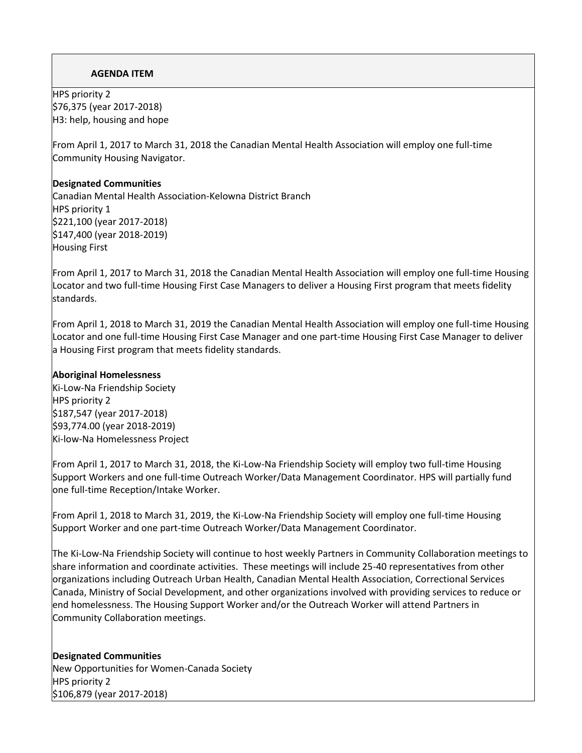HPS priority 2 \$76,375 (year 2017-2018) H3: help, housing and hope

From April 1, 2017 to March 31, 2018 the Canadian Mental Health Association will employ one full-time Community Housing Navigator.

## **Designated Communities**

Canadian Mental Health Association-Kelowna District Branch HPS priority 1 \$221,100 (year 2017-2018) \$147,400 (year 2018-2019) Housing First

From April 1, 2017 to March 31, 2018 the Canadian Mental Health Association will employ one full-time Housing Locator and two full-time Housing First Case Managers to deliver a Housing First program that meets fidelity standards.

From April 1, 2018 to March 31, 2019 the Canadian Mental Health Association will employ one full-time Housing Locator and one full-time Housing First Case Manager and one part-time Housing First Case Manager to deliver a Housing First program that meets fidelity standards.

### **Aboriginal Homelessness**

Ki-Low-Na Friendship Society HPS priority 2 \$187,547 (year 2017-2018) \$93,774.00 (year 2018-2019) Ki-low-Na Homelessness Project

From April 1, 2017 to March 31, 2018, the Ki-Low-Na Friendship Society will employ two full-time Housing Support Workers and one full-time Outreach Worker/Data Management Coordinator. HPS will partially fund one full-time Reception/Intake Worker.

From April 1, 2018 to March 31, 2019, the Ki-Low-Na Friendship Society will employ one full-time Housing Support Worker and one part-time Outreach Worker/Data Management Coordinator.

The Ki-Low-Na Friendship Society will continue to host weekly Partners in Community Collaboration meetings to share information and coordinate activities. These meetings will include 25-40 representatives from other organizations including Outreach Urban Health, Canadian Mental Health Association, Correctional Services Canada, Ministry of Social Development, and other organizations involved with providing services to reduce or end homelessness. The Housing Support Worker and/or the Outreach Worker will attend Partners in Community Collaboration meetings.

**Designated Communities** New Opportunities for Women-Canada Society HPS priority 2 \$106,879 (year 2017-2018)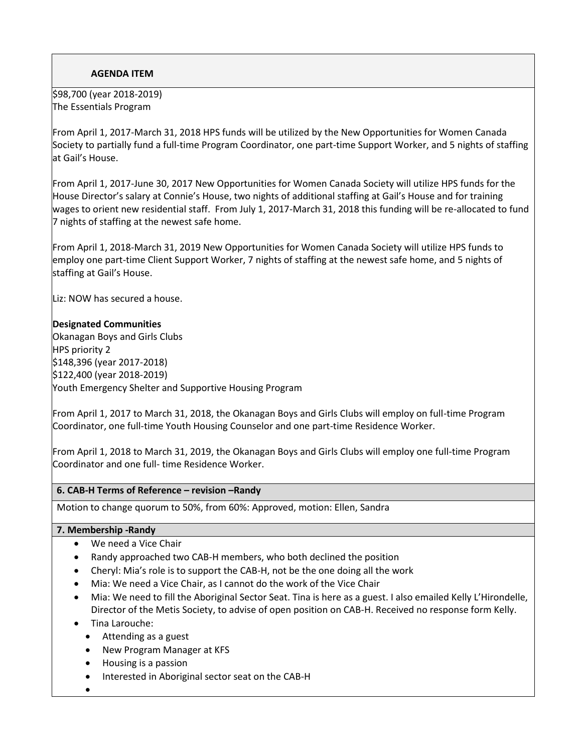\$98,700 (year 2018-2019) The Essentials Program

From April 1, 2017-March 31, 2018 HPS funds will be utilized by the New Opportunities for Women Canada Society to partially fund a full-time Program Coordinator, one part-time Support Worker, and 5 nights of staffing at Gail's House.

From April 1, 2017-June 30, 2017 New Opportunities for Women Canada Society will utilize HPS funds for the House Director's salary at Connie's House, two nights of additional staffing at Gail's House and for training wages to orient new residential staff. From July 1, 2017-March 31, 2018 this funding will be re-allocated to fund 7 nights of staffing at the newest safe home.

From April 1, 2018-March 31, 2019 New Opportunities for Women Canada Society will utilize HPS funds to employ one part-time Client Support Worker, 7 nights of staffing at the newest safe home, and 5 nights of staffing at Gail's House.

Liz: NOW has secured a house.

## **Designated Communities**

Okanagan Boys and Girls Clubs HPS priority 2 \$148,396 (year 2017-2018) \$122,400 (year 2018-2019) Youth Emergency Shelter and Supportive Housing Program

From April 1, 2017 to March 31, 2018, the Okanagan Boys and Girls Clubs will employ on full-time Program Coordinator, one full-time Youth Housing Counselor and one part-time Residence Worker.

From April 1, 2018 to March 31, 2019, the Okanagan Boys and Girls Clubs will employ one full-time Program Coordinator and one full- time Residence Worker.

#### **6. CAB-H Terms of Reference – revision –Randy**

Motion to change quorum to 50%, from 60%: Approved, motion: Ellen, Sandra

#### **7. Membership -Randy**

- We need a Vice Chair
- Randy approached two CAB-H members, who both declined the position
- Cheryl: Mia's role is to support the CAB-H, not be the one doing all the work
- Mia: We need a Vice Chair, as I cannot do the work of the Vice Chair
- Mia: We need to fill the Aboriginal Sector Seat. Tina is here as a guest. I also emailed Kelly L'Hirondelle, Director of the Metis Society, to advise of open position on CAB-H. Received no response form Kelly.
- Tina Larouche:
	- Attending as a guest
	- New Program Manager at KFS
	- Housing is a passion
	- Interested in Aboriginal sector seat on the CAB-H
- $\bullet$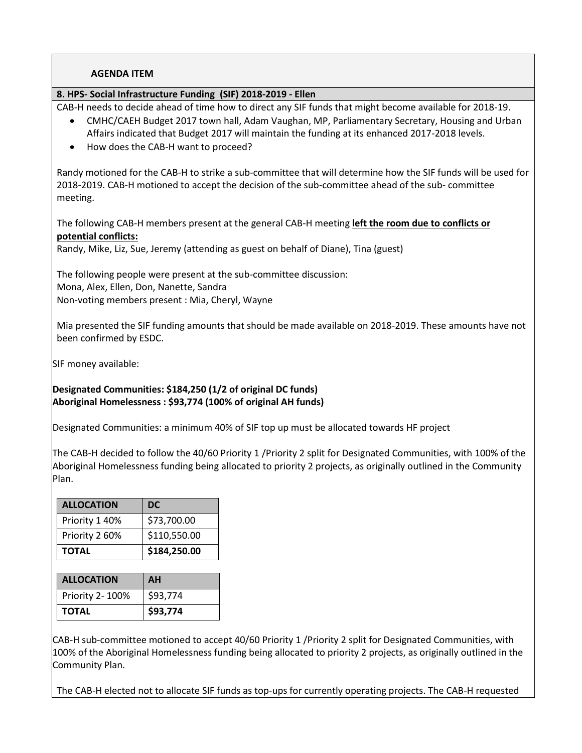### **8. HPS- Social Infrastructure Funding (SIF) 2018-2019 - Ellen**

CAB-H needs to decide ahead of time how to direct any SIF funds that might become available for 2018-19.

- CMHC/CAEH Budget 2017 town hall, Adam Vaughan, MP, Parliamentary Secretary, Housing and Urban Affairs indicated that Budget 2017 will maintain the funding at its enhanced 2017-2018 levels.
- How does the CAB-H want to proceed?

Randy motioned for the CAB-H to strike a sub-committee that will determine how the SIF funds will be used for 2018-2019. CAB-H motioned to accept the decision of the sub-committee ahead of the sub- committee meeting.

The following CAB-H members present at the general CAB-H meeting **left the room due to conflicts or potential conflicts:** 

Randy, Mike, Liz, Sue, Jeremy (attending as guest on behalf of Diane), Tina (guest)

The following people were present at the sub-committee discussion: Mona, Alex, Ellen, Don, Nanette, Sandra Non-voting members present : Mia, Cheryl, Wayne

Mia presented the SIF funding amounts that should be made available on 2018-2019. These amounts have not been confirmed by ESDC.

SIF money available:

**Designated Communities: \$184,250 (1/2 of original DC funds) Aboriginal Homelessness : \$93,774 (100% of original AH funds)**

Designated Communities: a minimum 40% of SIF top up must be allocated towards HF project

The CAB-H decided to follow the 40/60 Priority 1 /Priority 2 split for Designated Communities, with 100% of the Aboriginal Homelessness funding being allocated to priority 2 projects, as originally outlined in the Community Plan.

| <b>ALLOCATION</b> | <b>DC</b>    |
|-------------------|--------------|
| Priority 1 40%    | \$73,700.00  |
| Priority 2 60%    | \$110,550.00 |
| <b>TOTAL</b>      | \$184,250.00 |

| <b>ALLOCATION</b> | AН       |
|-------------------|----------|
| Priority 2- 100%  | \$93,774 |
| <b>TOTAL</b>      | \$93,774 |

CAB-H sub-committee motioned to accept 40/60 Priority 1 /Priority 2 split for Designated Communities, with 100% of the Aboriginal Homelessness funding being allocated to priority 2 projects, as originally outlined in the Community Plan.

The CAB-H elected not to allocate SIF funds as top-ups for currently operating projects. The CAB-H requested